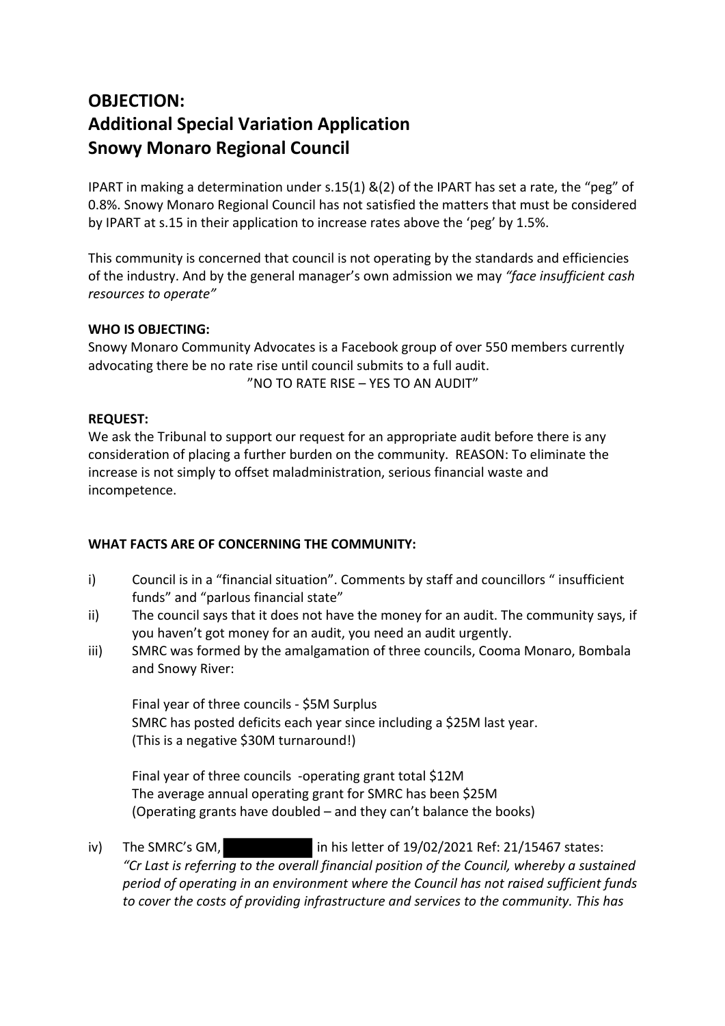# **OBJECTION: Additional Special Variation Application Snowy Monaro Regional Council**

IPART in making a determination under s.15(1) &(2) of the IPART has set a rate, the "peg" of 0.8%. Snowy Monaro Regional Council has not satisfied the matters that must be considered by IPART at s.15 in their application to increase rates above the 'peg' by 1.5%.

This community is concerned that council is not operating by the standards and efficiencies of the industry. And by the general manager's own admission we may *"face insufficient cash resources to operate"*

### **WHO IS OBJECTING:**

Snowy Monaro Community Advocates is a Facebook group of over 550 members currently advocating there be no rate rise until council submits to a full audit.

"NO TO RATE RISE – YES TO AN AUDIT"

## **REQUEST:**

We ask the Tribunal to support our request for an appropriate audit before there is any consideration of placing a further burden on the community. REASON: To eliminate the increase is not simply to offset maladministration, serious financial waste and incompetence.

## **WHAT FACTS ARE OF CONCERNING THE COMMUNITY:**

- i) Council is in a "financial situation". Comments by staff and councillors " insufficient funds" and "parlous financial state"
- ii) The council says that it does not have the money for an audit. The community says, if you haven't got money for an audit, you need an audit urgently.
- iii) SMRC was formed by the amalgamation of three councils, Cooma Monaro, Bombala and Snowy River:

Final year of three councils - \$5M Surplus SMRC has posted deficits each year since including a \$25M last year. (This is a negative \$30M turnaround!)

Final year of three councils -operating grant total \$12M The average annual operating grant for SMRC has been \$25M (Operating grants have doubled – and they can't balance the books)

iv) The SMRC's GM,  $\frac{1}{10}$  in his letter of 19/02/2021 Ref: 21/15467 states: *"Cr Last is referring to the overall financial position of the Council, whereby a sustained period of operating in an environment where the Council has not raised sufficient funds to cover the costs of providing infrastructure and services to the community. This has*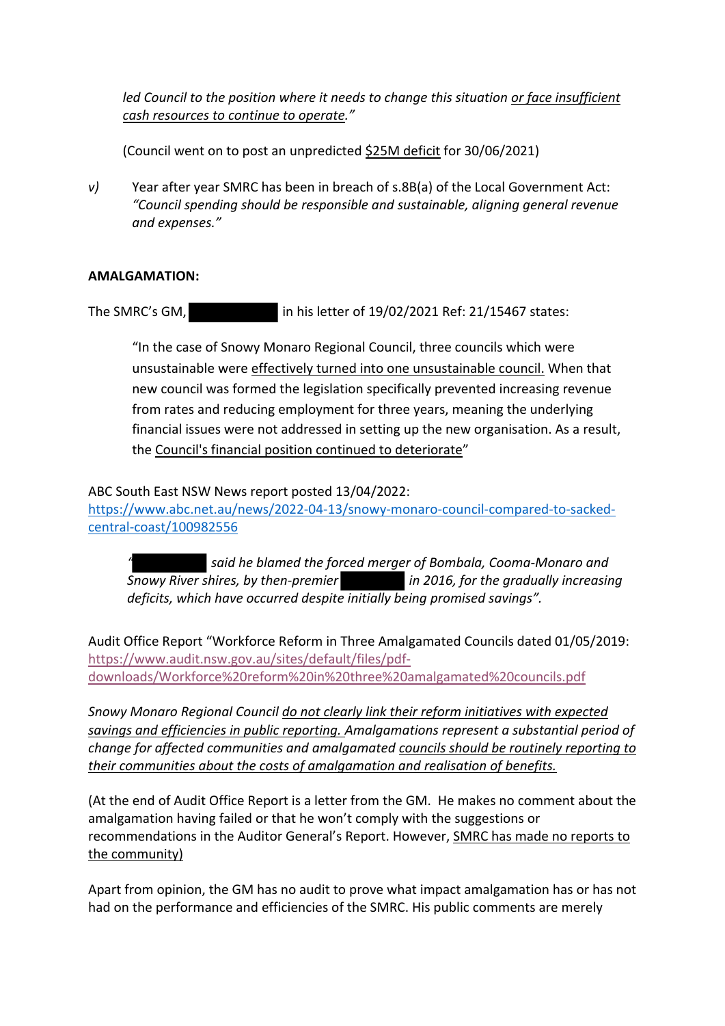led Council to the position where it needs to change this situation or face insufficient *cash resources to continue to operate."*

(Council went on to post an unpredicted \$25M deficit for 30/06/2021)

*v)* Year after year SMRC has been in breach of s.8B(a) of the Local Government Act: *"Council spending should be responsible and sustainable, aligning general revenue and expenses."*

#### **AMALGAMATION:**

The SMRC's GM, in his letter of 19/02/2021 Ref: 21/15467 states:

"In the case of Snowy Monaro Regional Council, three councils which were unsustainable were effectively turned into one unsustainable council. When that new council was formed the legislation specifically prevented increasing revenue from rates and reducing employment for three years, meaning the underlying financial issues were not addressed in setting up the new organisation. As a result, the Council's financial position continued to deteriorate"

ABC South East NSW News report posted 13/04/2022:

https://www.abc.net.au/news/2022-04-13/snowy-monaro-council-compared-to-sackedcentral-coast/100982556

*" said he blamed the forced merger of Bombala, Cooma-Monaro and Snowy River shires, by then-premier in 2016, for the gradually increasing deficits, which have occurred despite initially being promised savings".*

Audit Office Report "Workforce Reform in Three Amalgamated Councils dated 01/05/2019: https://www.audit.nsw.gov.au/sites/default/files/pdfdownloads/Workforce%20reform%20in%20three%20amalgamated%20councils.pdf

*Snowy Monaro Regional Council do not clearly link their reform initiatives with expected savings and efficiencies in public reporting. Amalgamations represent a substantial period of change for affected communities and amalgamated councils should be routinely reporting to their communities about the costs of amalgamation and realisation of benefits.*

(At the end of Audit Office Report is a letter from the GM. He makes no comment about the amalgamation having failed or that he won't comply with the suggestions or recommendations in the Auditor General's Report. However, SMRC has made no reports to the community)

Apart from opinion, the GM has no audit to prove what impact amalgamation has or has not had on the performance and efficiencies of the SMRC. His public comments are merely